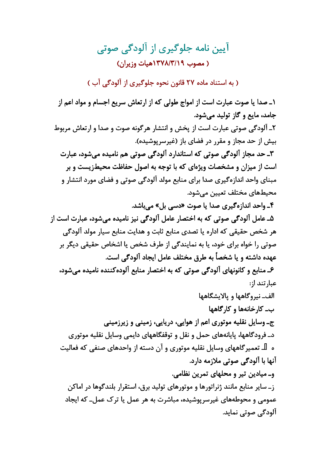## آيين نامه جلوگيري از آلودگي صوتي ( مصوب ١٣٧٨/٣/١٩هيات وزيران)

( به استناد ماده ۲۷ قانون نحوه جلوگیری از آلودگی آب )

۱ــ صدا یا صوت عبارت است از امواج طولی که از ارتعاش سریع اجسام و مواد اعم از جامد، مايع و گاز توليد مي شود. ٢ـ آلودگی صوتی عبارت است از پخش و انتشار هرگونه صوت و صدا و ارتعاش مربوط بيش از حد مجاز و مقرر در فضاي باز (غيرسرپوشيده). ۳ـ حد مجاز آلودگی صوتی که استاندارد آلودگی صوتی هم نامیده میشود، عبارت است از میزان و مشخصات ویژهای که با توجه به اصول حفاظت محیطزیست و بر مبنای واحد اندازهگیری صدا برای منابع مولد آلودگی صوتی و فضای مورد انتشار و محيطهاي مختلف تعيين مي شود. ۴ـ واحد اندازہ گیری صدا یا صوت «دسے بل» مے باشد. ۵ـ عامل آلودگی صوتی که به اختصار عامل آلودگی نیز نامیده میشود، عبارت است از هر شخص حقيقي كه اداره يا تصدى منابع ثابت و هدايت منابع سيار مولد آلودگي صوتی را خواه برای خود، یا به نمایندگی از طرف شخص یا اشخاص حقیقی دیگر بر عهده داشته و یا شخصاً به طرق مختلف عامل ایجاد آلودگی است. ۶ـ منابع و کانونهای آلودگی صوتی که به اختصار منابع آلودهکننده نامیده می شود، عبار تند از: الف\_ نیروگاهها و پالایشگاهها ب۔ کارخانهها و کارگاهها ج۔ وسایل نقلیه موتوری اعم از هوایی، دریایی، زمینی و زیرزمینی د\_ فرودگاهها، پایانههای حمل و نقل و توقفگاههای دایمی وسایل نقلیه موتوری ه \_\_ تعمير گاههاي وسايل نقليه موتوري و آن دسته از واحدهاي صنفي كه فعاليت آنها با آلودگی صوتی ملازمه دارد. و۔ میادین تیر و محلهای تمرین نظامی. ز\_ سایر منابع مانند ژنراتورها و موتورهای تولید برق، استقرار بلندگوها در اماکن عمومی و محوطههای غیرسرپوشیده، مباشرت به هر عمل یا ترک عمل۔ که ایجاد آلودگی صوتی نماید.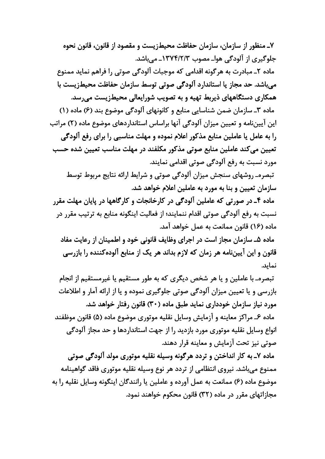٧ـ منظور از سازمان، سازمان حفاظت محیطزیست و مقصود از قانون، قانون نحوه جلوگیری از آلودگی هواـ مصوب ۱۳۷۴/۲/۳ـ می باشد. مادہ ٢ـ مبادرت به هر گونه اقدامے که موجبات آلودگے صوتے ١٫ فراهم نماید ممنوع میباشد. حد مجاز یا استاندارد آلودگی صوتی توسط سازمان حفاظت محیطزیست با همکاری دستگاههای ذیربط تهیه و به تصویب شورایعالی محیطزیست می رسد. ماده ٣ـ سازمان ضمن شناسایی منابع و کانونهای آلودگی موضوع بند (۶) ماده (١) این آییننامه و تعیین میزان آلودگی آنها براساس استانداردهای موضوع ماده (۲) مراتب را به عامل یا عاملین منابع مذکور اعلام نموده و مهلت مناسبی را برای رفع آلودگی تعیین میکند عاملین منابع صوتی مذکور مکلفند در مهلت مناسب تعیین شده حسب مورد نسبت به رفع آلودگی صوتی اقدامی نمایند. تبصرهـ روشهای سنجش میزان آلودگی صوتی و شرایط ارائه نتایج مربوط توسط سازمان تعیین و بنا به مورد به عاملین اعلام خواهد شد. ماده ۴ـ در صورتی که عاملین آلودگی در کارخانجات و کارگاهها در پایان مهلت مقرر نسبت به رفع آلودگی صوتی اقدام ننمایند؛ از فعالیت اینگونه منابع به ترتیب مقرر در ماده (۱۶) قانون ممانعت به عمل خواهد آمد. ماده ۵ــ سازمان مجاز است در اجرای وظایف قانونی خود و اطمینان از رعایت مفاد قانون و این آییننامه هر زمان که لازم بداند هر یک از منابع آلودهکننده را بازرسی نماىد. تبصرهـ با عاملین و یا هر شخص دیگری که به طور مستقیم یا غیرمستقیم از انجام بازرسی و یا تعیین میزان آلودگی صوتی جلوگیری نموده و یا از ارائه آمار و اطلاعات مورد نیاز سازمان خودداری نماید طبق ماده (۳۰) قانون رفتار خواهد شد. ماده ۶ـ مراكز معاينه و آزمايش وسايل نقليه موتوري موضوع ماده (۵) قانون موظفند انواع وسایل نقلیه موتوری مورد بازدید را از جهت استانداردها و حد مجاز آلودگی صوتی نیز تحت آزمایش و معاینه قرار دهند. ماده ۷ـ به کار انداختن و تردد هرگونه وسیله نقلیه موتوری مولد آلودگی صوتی ممنوع می باشد. نیروی انتظامی از تردد هر نوع وسیله نقلیه موتوری فاقد گواهینامه موضوع ماده (۶) ممانعت به عمل آورده و عاملین یا رانندگان اینگونه وسایل نقلیه را به مجازاتهای مقرر در ماده (۳۲) قانون محکوم خواهند نمود.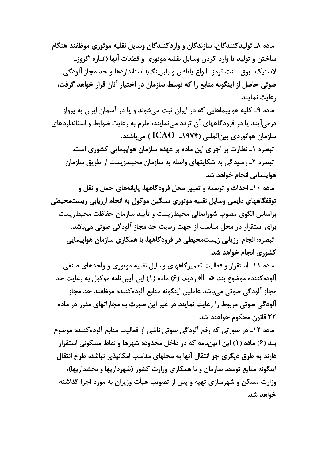ماده ۸ـ تولیدکنندگان، سازندگان و واردکنندگان وسایل نقلیه موتوری موظفند هنگام ساختن و توليد يا وارد كردن وسايل نقليه موتوري و قطعات آنها (انباره اگزوز\_ لاستيک۔ بوق۔ لنت ترمز۔ انواع پاتاقان و بلبرینگ) استانداردها و حد مجاز آلودگی صوتی حاصل از اینگونه منابع را که توسط سازمان در اختیار آنان قرار خواهد گرفت، رعايت نمايند.

ماده ۹ـ کلیه هواپیماهایی که در ایران ثبت میشوند و یا در آسمان ایران به پرواز درمیآیند یا در فرودگاههای آن تردد مینمایند، ملزم به رعایت ضوابط و استانداردهای سازمان هوانوردی بین|لمللی (۱۹۷۴\_ ICAO) میباشند. تبصره ۱ـ نظارت بر اجرای این ماده بر عهده سازمان هواپیمایی کشوری است. تبصره ۲ـ رسیدگی به شکایتهای واصله به سازمان محیطزیست از طریق سازمان هواپیمایی انجام خواهد شد.

ماده ۱۰ـ احداث و توسعه و تغییر محل فرودگاهها، پایانههای حمل و نقل و توقفگاههای دایمی وسایل نقلیه موتوری سنگین موکول به انجام ارزیابی زیستمحیطی براساس الگوی مصوب شورایعالی محیطزیست و تأیید سازمان حفاظت محیطزیست برای استقرار در محل مناسب از جهت رعایت حد مجاز آلودگی صوتی می باشد. تبصره: انجام ارزیابی زیستمحیطی در فرودگاهها، با همکاری سازمان هواپیمایی كشورى انجام خواهد شد.

ماده ۱۱ـ استقرار و فعالیت تعمیر گاههای وسایل نقلیه موتوری و واحدهای صنفی آلوده كننده موضوع بند «ه » رديف (۶) ماده (۱) اين آيينiامه موكول به رعايت حد مجاز آلودگی صوتی میباشد عاملین اینگونه منابع آلوده کننده موظفند حد مجاز آلودگی صوتی مربوط را رعایت نمایند در غیر این صورت به مجازاتهای مقرر در ماده ۳۲ قانون محکوم خواهند شد.

ماده ١٢ـ در صورتي كه رفع آلودگي صوتي ناشي از فعاليت منابع آلوده كننده موضوع بند (۶) ماده (۱) این آپین،نامه که در داخل محدوده شهرها و نقاط مسکونی استقرار دارند به طرق دیگری جز انتقال آنها به محلهای مناسب امکانپذیر نباشد، طرح انتقال اینگونه منابع توسط سازمان و با همکاری وزارت کشور (شهرداریها و بخشداریها)، وزارت مسکن و شهرسازی تهیه و پس از تصویب هیأت وزیران به مورد اجرا گذاشته خواهد شد.